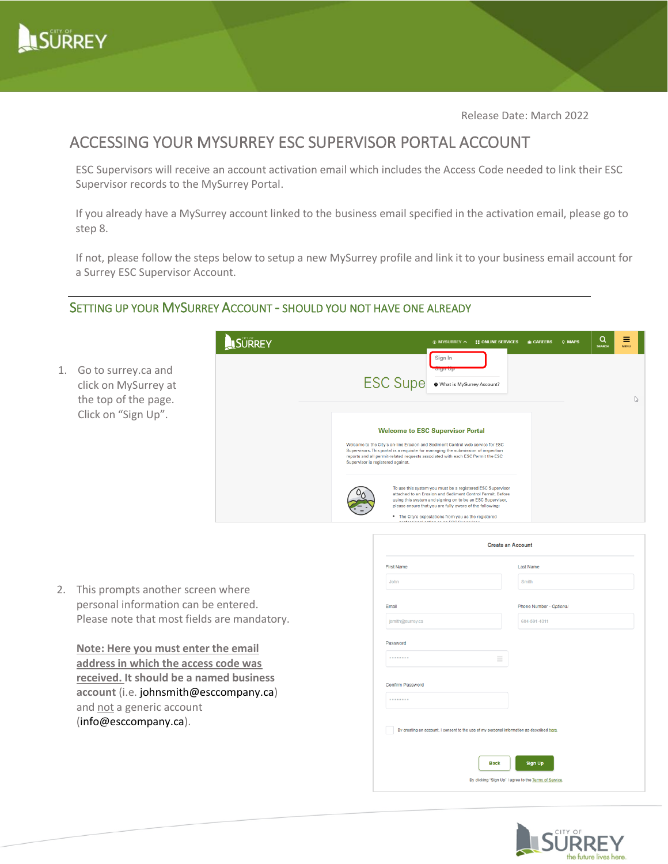

Release Date: March 2022

# ACCESSING YOUR MYSURREY ESC SUPERVISOR PORTAL ACCOUNT

ESC Supervisors will receive an account activation email which includes the Access Code needed to link their ESC Supervisor records to the MySurrey Portal.

If you already have a MySurrey account linked to the business email specified in the activation email, please go to step 8.

If not, please follow the steps below to see<br>a Surrey ESC Supervisor Account. If not, please follow the steps below to setup a new MySurrey profile and link it to your business email account for

### SETTING UP YOUR MYSURREY ACCOUNT - SHOULD YOU NOT HAVE ONE ALREADY

1. Go to surrey.ca and click on MySurrey at the top of the page. Click on "Sign Up".

| SURREY | Q<br><b>THE MANUBEL A</b><br><b>E</b> ONLINE SERVICES<br><b>M</b> CAREERS<br><b>Q MAPS</b><br><b>SEARCH</b>                                                                                                                                                                                                                                                                                                                                                                        | Ξ<br><b>MENU</b> |
|--------|------------------------------------------------------------------------------------------------------------------------------------------------------------------------------------------------------------------------------------------------------------------------------------------------------------------------------------------------------------------------------------------------------------------------------------------------------------------------------------|------------------|
|        | Sign In<br>algit op<br><b>ESC Supe</b><br>What is MySurrey Account?                                                                                                                                                                                                                                                                                                                                                                                                                | r (              |
|        | <b>Welcome to ESC Supervisor Portal</b><br>Welcome to the City's on-line Erosion and Sediment Control web service for ESC<br>Supervisors. This portal is a requisite for managing the submission of inspection<br>reports and all permit-related requests associated with each ESC Permit the ESC<br>Supervisor is registered against.                                                                                                                                             |                  |
|        | To use this system you must be a registered ESC Supervisor<br>attached to an Erosion and Sediment Control Permit, Before<br>using this system and signing on to be an ESC Supervisor,<br>please ensure that you are fully aware of the following:<br>a traditional contract of the contract of the contract of the contract of the contract of the contract of the contract of the contract of the contract of the contract of the contract of the contract of the contract of the |                  |

2. This prompts another screen where personal information can be entered. Please note that most fields are mandatory.

**Note: Here you must enter the email address in which the access code was received. It should be a named business account** (i.e. johnsmith@esccompany.ca) and not a generic account (info@esccompany.ca).

| <b>First Name</b>                                                                          | <b>Last Name</b>        |
|--------------------------------------------------------------------------------------------|-------------------------|
| John                                                                                       | Smith                   |
| Email                                                                                      | Phone Number - Optional |
| jsmith@surrey.ca                                                                           | 604-591-4011            |
| Password                                                                                   |                         |
| Ξ<br>********                                                                              |                         |
| Confirm Password                                                                           |                         |
| <b>*********</b>                                                                           |                         |
| By creating an account, I consent to the use of my personal information as described here. |                         |
| <b>Back</b>                                                                                | Sign Up                 |

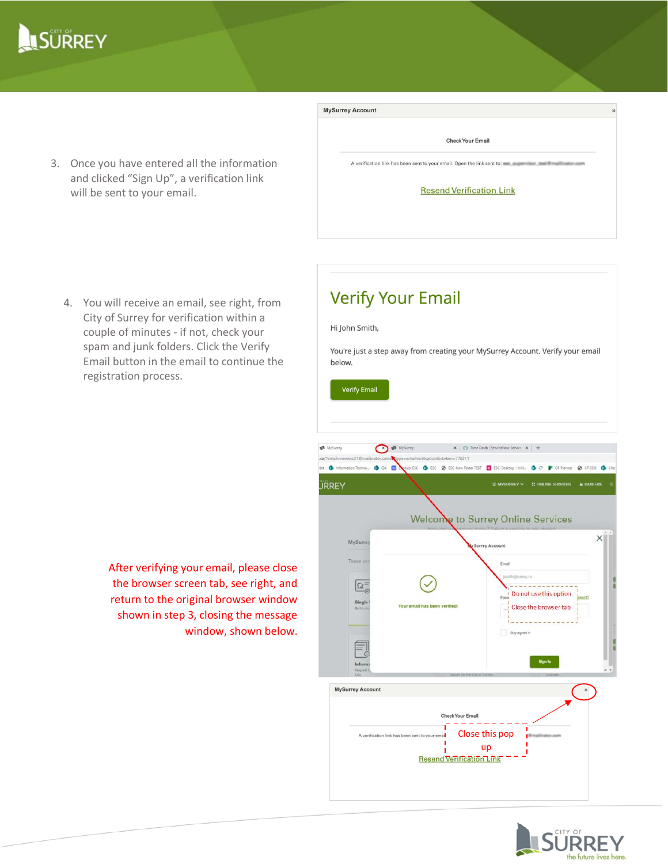# **LSURREY**

3. Once you have entered all the information and clicked "Sign Up", a verification link will be sent to your email.

| <b>MySurrey Account</b>                                                                            | $\infty$ |
|----------------------------------------------------------------------------------------------------|----------|
| <b>Check Your Email</b>                                                                            |          |
| A verification link has been sent to your email. Open the link sent to: es a service that the sent |          |
| <b>Resend Verification Link</b>                                                                    |          |
|                                                                                                    |          |
|                                                                                                    |          |

4. You will receive an email, see right, from City of Surrey for verification within a couple of minutes - if not, check your spam and junk folders. Click the Verify Email button in the email to continue the registration process.



# **Verify Your Email**

#### Hi John Smith,

You're just a step away from creating your MySurrey Account. Verify your email below.



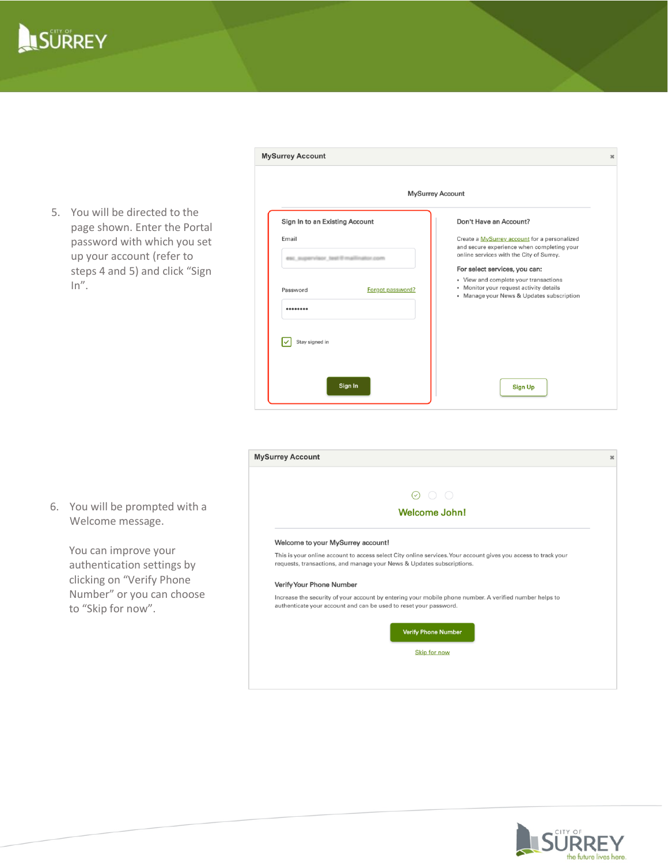

5. You will be directed to the page shown. Enter the Portal password with which you set up your account (refer to steps 4 and 5) and click "Sign  $In''$ .

6. You will be prompted with a Welcome message.

> You can improve your authentication settings by clicking on "Verify Phone Number" or you can choose

to "Skip for now".

|                                                                                                                                        | $\boldsymbol{\chi}$ |
|----------------------------------------------------------------------------------------------------------------------------------------|---------------------|
| <b>MySurrey Account</b>                                                                                                                |                     |
| Don't Have an Account?                                                                                                                 |                     |
| Create a MySurrey account for a personalized<br>and secure experience when completing your<br>online services with the City of Surrey. |                     |
| For select services, you can:                                                                                                          |                     |
| • View and complete your transactions<br>• Monitor your request activity details<br>• Manage your News & Updates subscription          |                     |
|                                                                                                                                        |                     |
| <b>Sign Up</b>                                                                                                                         |                     |
|                                                                                                                                        |                     |



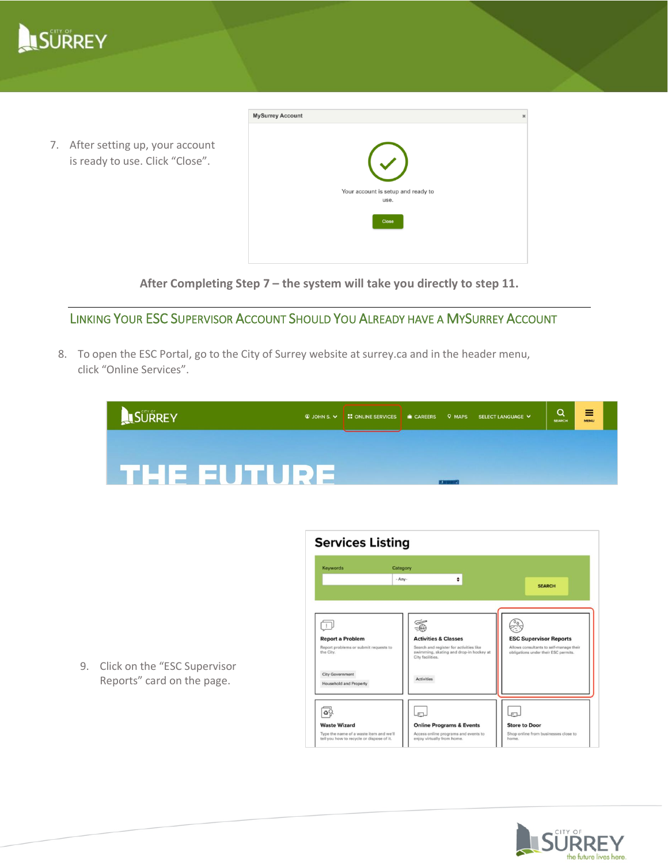

7. After setting up, your account is ready to use. Click "Close".

| <b>MySurrey Account</b> |                                    | $\pmb{\times}$ |
|-------------------------|------------------------------------|----------------|
|                         |                                    |                |
|                         | $\left(\sqrt{\phantom{a}}\right)$  |                |
|                         | Your account is setup and ready to |                |
|                         | use.                               |                |
|                         | Close                              |                |
|                         |                                    |                |
|                         |                                    |                |

**After Completing Step 7 – the system will take you directly to step 11.**

## LINKING YOUR ESC SUPERVISOR ACCOUNT SHOULD YOU ALREADY HAVE A MYSURREY ACCOUNT

8. To open the ESC Portal, go to the City of Surrey website at surrey.ca and in the header menu, click "Online Services".

| SURREY | $Q$ JOHN S. $V$    | <b>E</b> ONLINE SERVICES | <b>IN CAREERS</b> | <b>Q MAPS</b>     | SELECT LANGUAGE V | Q<br><b>SEARCH</b> | ≡<br><b>MENU</b> |  |
|--------|--------------------|--------------------------|-------------------|-------------------|-------------------|--------------------|------------------|--|
|        |                    |                          |                   |                   |                   |                    |                  |  |
|        | <b>ETHE EUTURE</b> |                          |                   | <b>PARTICULAR</b> |                   |                    |                  |  |

| <b>Report a Problem</b><br>Report problems or submit requests to<br>the City. | ٠<br>$-AnV -$<br>œ<br><b>Activities &amp; Classes</b><br>Search and register for activities like | <b>SEARCH</b><br><b>ESC Supervisor Reports</b>                                  |
|-------------------------------------------------------------------------------|--------------------------------------------------------------------------------------------------|---------------------------------------------------------------------------------|
|                                                                               |                                                                                                  |                                                                                 |
|                                                                               | swimming, skating and drop-in hockey at<br>City facilities.                                      | Allows consultants to self-manage their<br>obligations under their ESC permits. |
| <b>City Government</b><br><b>Household and Property</b>                       | <b>Activities</b>                                                                                |                                                                                 |
|                                                                               | F.                                                                                               |                                                                                 |
| <b>Waste Wizard</b>                                                           | <b>Online Programs &amp; Events</b>                                                              | <b>Store to Door</b>                                                            |

LSÜRREY

9. Click on the "ESC Supervisor Reports" card on the page.